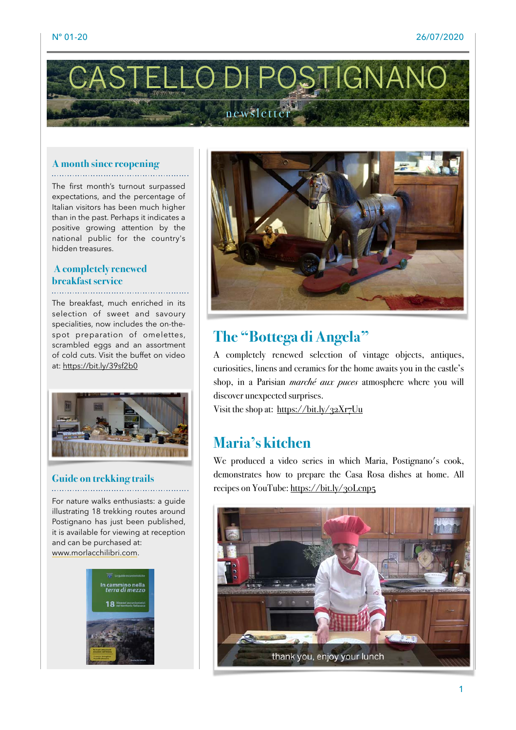

## **A month since reopening**

The first month's turnout surpassed expectations, and the percentage of Italian visitors has been much higher than in the past. Perhaps it indicates a positive growing attention by the national public for the country's hidden treasures.

### **A completely renewed breakfast service**

The breakfast, much enriched in its selection of sweet and savoury specialities, now includes the on-thespot preparation of omelettes, scrambled eggs and an assortment of cold cuts. Visit the buffet on video at: <https://bit.ly/39sf2b0>



### **Guide on trekking trails**

For nature walks enthusiasts: a guide illustrating 18 trekking routes around Postignano has just been published, it is available for viewing at reception and can be purchased at: [www.morlacchilibri.com](http://www.morlacchilibri.com/).





### **The "Bottega di Angela"**

A completely renewed selection of vintage objects, antiques, curiosities, linens and ceramics for the home awaits you in the castle's shop, in a Parisian *marché aux puces* atmosphere where you will discover unexpected surprises.

Visit the shop at: <https://bit.ly/32Xr7Uu>

## **Maria's kitchen**

We produced a video series in which Maria, Postignano's cook, demonstrates how to prepare the Casa Rosa dishes at home. All recipes on YouTube: <https://bit.ly/30Lcnp5>